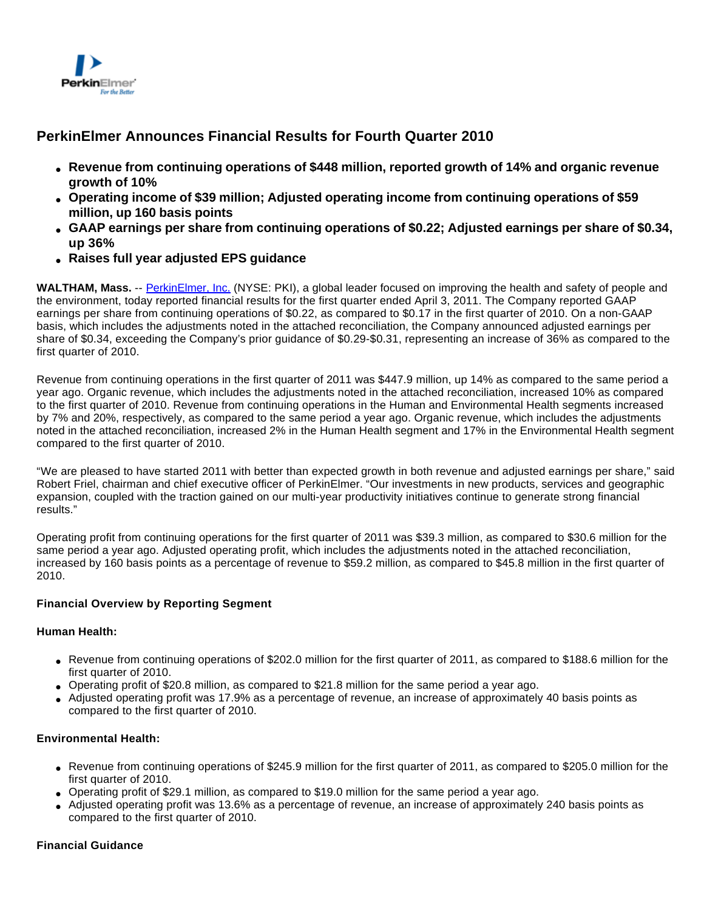

# **PerkinElmer Announces Financial Results for Fourth Quarter 2010**

- **Revenue from continuing operations of \$448 million, reported growth of 14% and organic revenue growth of 10%**
- **Operating income of \$39 million; Adjusted operating income from continuing operations of \$59 million, up 160 basis points**
- **GAAP earnings per share from continuing operations of \$0.22; Adjusted earnings per share of \$0.34, up 36%**
- **Raises full year adjusted EPS guidance**

**WALTHAM, Mass.** -- [PerkinElmer, Inc.](http://www.perkinelmer.com/) (NYSE: PKI), a global leader focused on improving the health and safety of people and the environment, today reported financial results for the first quarter ended April 3, 2011. The Company reported GAAP earnings per share from continuing operations of \$0.22, as compared to \$0.17 in the first quarter of 2010. On a non-GAAP basis, which includes the adjustments noted in the attached reconciliation, the Company announced adjusted earnings per share of \$0.34, exceeding the Company's prior guidance of \$0.29-\$0.31, representing an increase of 36% as compared to the first quarter of 2010.

Revenue from continuing operations in the first quarter of 2011 was \$447.9 million, up 14% as compared to the same period a year ago. Organic revenue, which includes the adjustments noted in the attached reconciliation, increased 10% as compared to the first quarter of 2010. Revenue from continuing operations in the Human and Environmental Health segments increased by 7% and 20%, respectively, as compared to the same period a year ago. Organic revenue, which includes the adjustments noted in the attached reconciliation, increased 2% in the Human Health segment and 17% in the Environmental Health segment compared to the first quarter of 2010.

"We are pleased to have started 2011 with better than expected growth in both revenue and adjusted earnings per share," said Robert Friel, chairman and chief executive officer of PerkinElmer. "Our investments in new products, services and geographic expansion, coupled with the traction gained on our multi-year productivity initiatives continue to generate strong financial results."

Operating profit from continuing operations for the first quarter of 2011 was \$39.3 million, as compared to \$30.6 million for the same period a year ago. Adjusted operating profit, which includes the adjustments noted in the attached reconciliation, increased by 160 basis points as a percentage of revenue to \$59.2 million, as compared to \$45.8 million in the first quarter of 2010.

## **Financial Overview by Reporting Segment**

#### **Human Health:**

- Revenue from continuing operations of \$202.0 million for the first quarter of 2011, as compared to \$188.6 million for the first quarter of 2010.
- Operating profit of \$20.8 million, as compared to \$21.8 million for the same period a year ago.
- Adjusted operating profit was 17.9% as a percentage of revenue, an increase of approximately 40 basis points as compared to the first quarter of 2010.

#### **Environmental Health:**

- Revenue from continuing operations of \$245.9 million for the first quarter of 2011, as compared to \$205.0 million for the first quarter of 2010.
- Operating profit of \$29.1 million, as compared to \$19.0 million for the same period a year ago.
- Adjusted operating profit was 13.6% as a percentage of revenue, an increase of approximately 240 basis points as compared to the first quarter of 2010.

#### **Financial Guidance**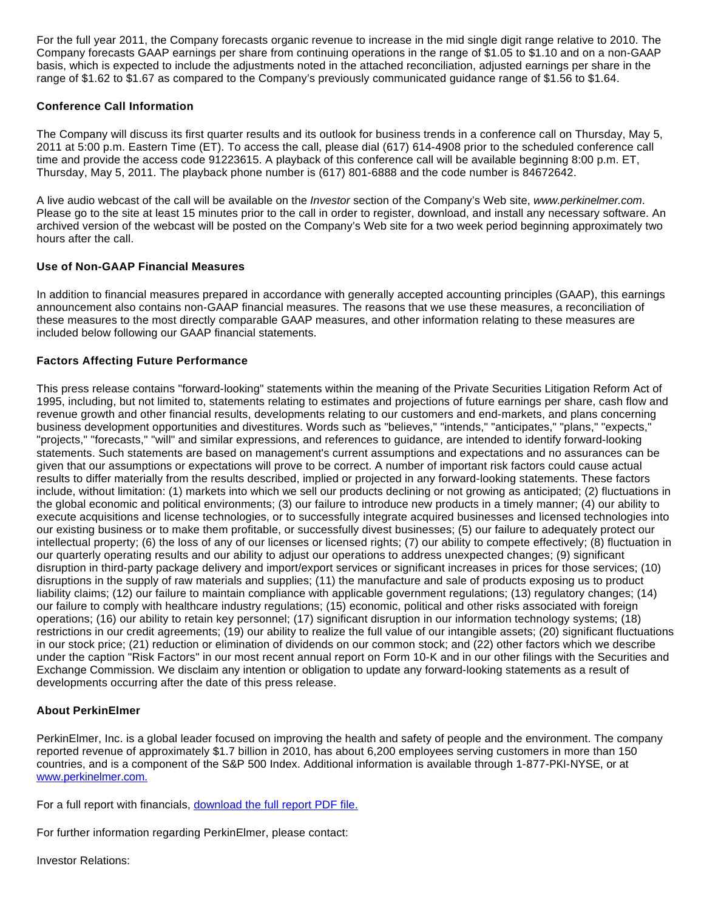For the full year 2011, the Company forecasts organic revenue to increase in the mid single digit range relative to 2010. The Company forecasts GAAP earnings per share from continuing operations in the range of \$1.05 to \$1.10 and on a non-GAAP basis, which is expected to include the adjustments noted in the attached reconciliation, adjusted earnings per share in the range of \$1.62 to \$1.67 as compared to the Company's previously communicated guidance range of \$1.56 to \$1.64.

### **Conference Call Information**

The Company will discuss its first quarter results and its outlook for business trends in a conference call on Thursday, May 5, 2011 at 5:00 p.m. Eastern Time (ET). To access the call, please dial (617) 614-4908 prior to the scheduled conference call time and provide the access code 91223615. A playback of this conference call will be available beginning 8:00 p.m. ET, Thursday, May 5, 2011. The playback phone number is (617) 801-6888 and the code number is 84672642.

A live audio webcast of the call will be available on the Investor section of the Company's Web site, www.perkinelmer.com. Please go to the site at least 15 minutes prior to the call in order to register, download, and install any necessary software. An archived version of the webcast will be posted on the Company's Web site for a two week period beginning approximately two hours after the call.

#### **Use of Non-GAAP Financial Measures**

In addition to financial measures prepared in accordance with generally accepted accounting principles (GAAP), this earnings announcement also contains non-GAAP financial measures. The reasons that we use these measures, a reconciliation of these measures to the most directly comparable GAAP measures, and other information relating to these measures are included below following our GAAP financial statements.

#### **Factors Affecting Future Performance**

This press release contains "forward-looking" statements within the meaning of the Private Securities Litigation Reform Act of 1995, including, but not limited to, statements relating to estimates and projections of future earnings per share, cash flow and revenue growth and other financial results, developments relating to our customers and end-markets, and plans concerning business development opportunities and divestitures. Words such as "believes," "intends," "anticipates," "plans," "expects," "projects," "forecasts," "will" and similar expressions, and references to guidance, are intended to identify forward-looking statements. Such statements are based on management's current assumptions and expectations and no assurances can be given that our assumptions or expectations will prove to be correct. A number of important risk factors could cause actual results to differ materially from the results described, implied or projected in any forward-looking statements. These factors include, without limitation: (1) markets into which we sell our products declining or not growing as anticipated; (2) fluctuations in the global economic and political environments; (3) our failure to introduce new products in a timely manner; (4) our ability to execute acquisitions and license technologies, or to successfully integrate acquired businesses and licensed technologies into our existing business or to make them profitable, or successfully divest businesses; (5) our failure to adequately protect our intellectual property; (6) the loss of any of our licenses or licensed rights; (7) our ability to compete effectively; (8) fluctuation in our quarterly operating results and our ability to adjust our operations to address unexpected changes; (9) significant disruption in third-party package delivery and import/export services or significant increases in prices for those services; (10) disruptions in the supply of raw materials and supplies; (11) the manufacture and sale of products exposing us to product liability claims; (12) our failure to maintain compliance with applicable government regulations; (13) regulatory changes; (14) our failure to comply with healthcare industry regulations; (15) economic, political and other risks associated with foreign operations; (16) our ability to retain key personnel; (17) significant disruption in our information technology systems; (18) restrictions in our credit agreements; (19) our ability to realize the full value of our intangible assets; (20) significant fluctuations in our stock price; (21) reduction or elimination of dividends on our common stock; and (22) other factors which we describe under the caption "Risk Factors" in our most recent annual report on Form 10-K and in our other filings with the Securities and Exchange Commission. We disclaim any intention or obligation to update any forward-looking statements as a result of developments occurring after the date of this press release.

#### **About PerkinElmer**

PerkinElmer, Inc. is a global leader focused on improving the health and safety of people and the environment. The company reported revenue of approximately \$1.7 billion in 2010, has about 6,200 employees serving customers in more than 150 countries, and is a component of the S&P 500 Index. Additional information is available through 1-877-PKI-NYSE, or at [www.perkinelmer.com.](http://www.perkinelmer.com/)

For a full report with financials, [download the full report PDF file.](http://ir.perkinelmer.com/common/download/download.cfm?companyid=PKI&fileid=476133&filekey=69bd229f-a5c6-4137-895d-f6717760ccc1&filename=5511%5FPE%2Epdf)

For further information regarding PerkinElmer, please contact:

Investor Relations: